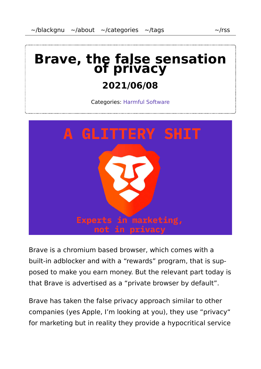# **Brave, the false sensation of privacy**

#### **2021/06/08**

Categories: Harmful Software



Brave is a chromium based browser, which comes with a built-in adblocker and with a "rewards" program, that is sup‐ posed to make you earn money. But the relevant part today is that Brave is advertised as a "private browser by default".

Brave has taken the false privacy approach similar to other companies (yes Apple, I'm looking at you), they use "privacy" for marketing but in reality they provide a hypocritical service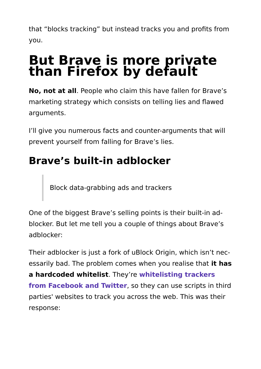that "blocks tracking" but instead tracks you and profits from you.

# **But Brave is more private than Firefox by default**

**No, not at all**. People who claim this have fallen for Brave's marketing strategy which consists on telling lies and flawed arguments.

I'll give you numerous facts and counter-arguments that will prevent yourself from falling for Brave's lies.

# **Brave's built-in adblocker**

Block data-grabbing ads and trackers

One of the biggest Brave's selling points is their built-in ad‐ blocker. But let me tell you a couple of things about Brave's adblocker:

Their adblocker is just a fork of uBlock Origin, which isn't nec‐ essarily bad. The problem comes when you realise that **it has a hardcoded whitelist**. They're **whitelisting trackers from Facebook and Twitter**, so they can use scripts in third parties' websites to track you across the web. This was their response: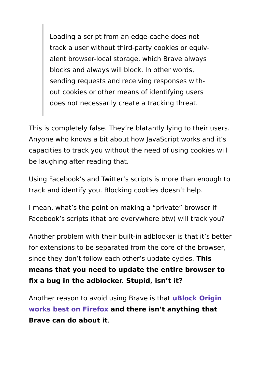Loading a script from an edge-cache does not track a user without third-party cookies or equiv‐ alent browser-local storage, which Brave always blocks and always will block. In other words, sending requests and receiving responses with‐ out cookies or other means of identifying users does not necessarily create a tracking threat.

This is completely false. They're blatantly lying to their users. Anyone who knows a bit about how JavaScript works and it's capacities to track you without the need of using cookies will be laughing after reading that.

Using Facebook's and Twitter's scripts is more than enough to track and identify you. Blocking cookies doesn't help.

I mean, what's the point on making a "private" browser if Facebook's scripts (that are everywhere btw) will track you?

Another problem with their built-in adblocker is that it's better for extensions to be separated from the core of the browser, since they don't follow each other's update cycles. **This means that you need to update the entire browser to fix a bug in the adblocker. Stupid, isn't it?**

Another reason to avoid using Brave is that **uBlock Origin works best on Firefox and there isn't anything that Brave can do about it**.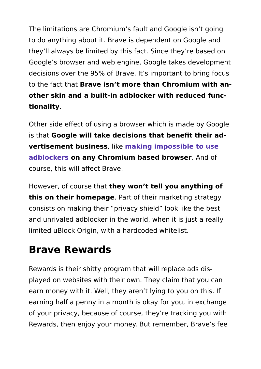The limitations are Chromium's fault and Google isn't going to do anything about it. Brave is dependent on Google and they'll always be limited by this fact. Since they're based on Google's browser and web engine, Google takes development decisions over the 95% of Brave. It's important to bring focus to the fact that **Brave isn't more than Chromium with an‐ other skin and a built-in adblocker with reduced func‐ tionality**.

Other side effect of using a browser which is made by Google is that **Google will take decisions that benefit their ad‐ vertisement business**, like **making impossible to use adblockers on any Chromium based browser**. And of course, this will affect Brave.

However, of course that **they won't tell you anything of this on their homepage**. Part of their marketing strategy consists on making their "privacy shield" look like the best and unrivaled adblocker in the world, when it is just a really limited uBlock Origin, with a hardcoded whitelist.

#### **Brave Rewards**

Rewards is their shitty program that will replace ads dis‐ played on websites with their own. They claim that you can earn money with it. Well, they aren't lying to you on this. If earning half a penny in a month is okay for you, in exchange of your privacy, because of course, they're tracking you with Rewards, then enjoy your money. But remember, Brave's fee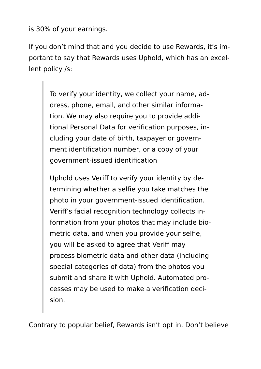is 30% of your earnings.

If you don't mind that and you decide to use Rewards, it's im‐ portant to say that Rewards uses Uphold, which has an excel‐ lent policy /s:

> To verify your identity, we collect your name, ad‐ dress, phone, email, and other similar informa‐ tion. We may also require you to provide addi‐ tional Personal Data for verification purposes, in‐ cluding your date of birth, taxpayer or govern‐ ment identification number, or a copy of your government-issued identification

> Uphold uses Veriff to verify your identity by de‐ termining whether a selfie you take matches the photo in your government-issued identification. Veriff's facial recognition technology collects in‐ formation from your photos that may include bio‐ metric data, and when you provide your selfie, you will be asked to agree that Veriff may process biometric data and other data (including special categories of data) from the photos you submit and share it with Uphold. Automated pro‐ cesses may be used to make a verification deci‐ sion.

Contrary to popular belief, Rewards isn't opt in. Don't believe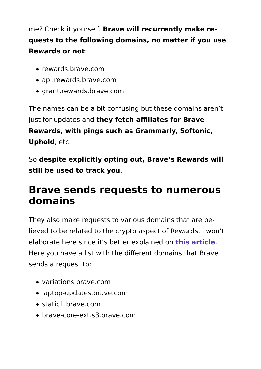me? Check it yourself. **Brave will recurrently make re‐ quests to the following domains, no matter if you use Rewards or not**:

- rewards.brave.com
- api.rewards.brave.com
- grant.rewards.brave.com

The names can be a bit confusing but these domains aren't just for updates and **they fetch affiliates for Brave Rewards, with pings such as Grammarly, Softonic, Uphold**, etc.

So **despite explicitly opting out, Brave's Rewards will still be used to track you**.

#### **Brave sends requests to numerous domains**

They also make requests to various domains that are be‐ lieved to be related to the crypto aspect of Rewards. I won't elaborate here since it's better explained on **this article**. Here you have a list with the different domains that Brave sends a request to:

- variations.brave.com
- laptop-updates.brave.com
- static1.brave.com
- brave-core-ext s3 brave com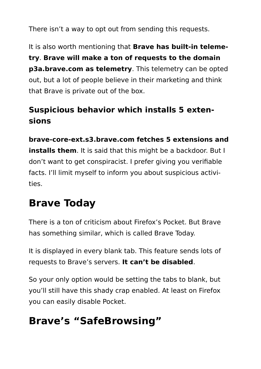There isn't a way to opt out from sending this requests.

It is also worth mentioning that **Brave has built-in teleme‐ try**. **Brave will make a ton of requests to the domain p3a.brave.com as telemetry**. This telemetry can be opted out, but a lot of people believe in their marketing and think that Brave is private out of the box.

#### **Suspicious behavior which installs 5 exten‐ sions**

**brave-core-ext.s3.brave.com fetches 5 extensions and installs them**. It is said that this might be a backdoor. But I don't want to get conspiracist. I prefer giving you verifiable facts. I'll limit myself to inform you about suspicious activi‐ ties.

## **Brave Today**

There is a ton of criticism about Firefox's Pocket. But Brave has something similar, which is called Brave Today.

It is displayed in every blank tab. This feature sends lots of requests to Brave's servers. **It can't be disabled**.

So your only option would be setting the tabs to blank, but you'll still have this shady crap enabled. At least on Firefox you can easily disable Pocket.

# **Brave's "SafeBrowsing"**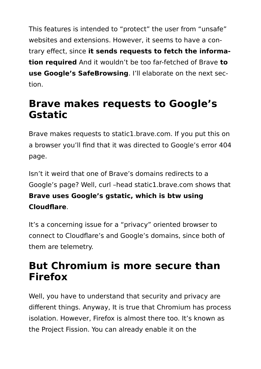This features is intended to "protect" the user from "unsafe" websites and extensions. However, it seems to have a con‐ trary effect, since **it sends requests to fetch the informa‐ tion required** And it wouldn't be too far-fetched of Brave **to use Google's SafeBrowsing**. I'll elaborate on the next sec‐ tion.

#### **Brave makes requests to Google's Gstatic**

Brave makes requests to static1.brave.com. If you put this on a browser you'll find that it was directed to Google's error 404 page.

Isn't it weird that one of Brave's domains redirects to a Google's page? Well, curl –head static1.brave.com shows that **Brave uses Google's gstatic, which is btw using Cloudflare**.

It's a concerning issue for a "privacy" oriented browser to connect to Cloudflare's and Google's domains, since both of them are telemetry.

#### **But Chromium is more secure than Firefox**

Well, you have to understand that security and privacy are different things. Anyway, It is true that Chromium has process isolation. However, Firefox is almost there too. It's known as the Project Fission. You can already enable it on the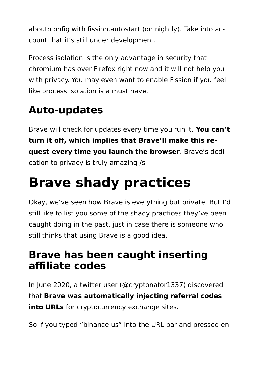about:config with fission.autostart (on nightly). Take into ac‐ count that it's still under development.

Process isolation is the only advantage in security that chromium has over Firefox right now and it will not help you with privacy. You may even want to enable Fission if you feel like process isolation is a must have.

# **Auto-updates**

Brave will check for updates every time you run it. **You can't turn it off, which implies that Brave'll make this re‐ quest every time you launch the browser**. Brave's dedi‐ cation to privacy is truly amazing /s.

# **Brave shady practices**

Okay, we've seen how Brave is everything but private. But I'd still like to list you some of the shady practices they've been caught doing in the past, just in case there is someone who still thinks that using Brave is a good idea.

## **Brave has been caught inserting affiliate codes**

In June 2020, a twitter user (@cryptonator1337) discovered that **Brave was automatically injecting referral codes into URLs** for cryptocurrency exchange sites.

So if you typed "binance.us" into the URL bar and pressed en‐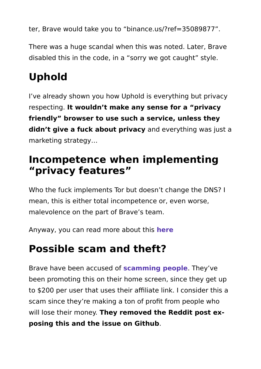ter, Brave would take you to "binance.us/?ref=35089877".

There was a huge scandal when this was noted. Later, Brave disabled this in the code, in a "sorry we got caught" style.

# **Uphold**

I've already shown you how Uphold is everything but privacy respecting. **It wouldn't make any sense for a "privacy friendly" browser to use such a service, unless they didn't give a fuck about privacy** and everything was just a marketing strategy…

#### **Incompetence when implementing "privacy features"**

Who the fuck implements Tor but doesn't change the DNS? I mean, this is either total incompetence or, even worse, malevolence on the part of Brave's team.

Anyway, you can read more about this **here**

# **Possible scam and theft?**

Brave have been accused of **scamming people**. They've been promoting this on their home screen, since they get up to \$200 per user that uses their affiliate link. I consider this a scam since they're making a ton of profit from people who will lose their money. **They removed the Reddit post ex‐ posing this and the issue on Github**.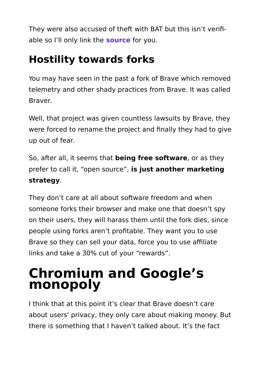They were also accused of theft with BAT but this isn't verifi‐ able so I'll only link the **source** for you.

# **Hostility towards forks**

You may have seen in the past a fork of Brave which removed telemetry and other shady practices from Brave. It was called Braver.

Well, that project was given countless lawsuits by Brave, they were forced to rename the project and finally they had to give up out of fear.

So, after all, it seems that **being free software**, or as they prefer to call it, "open source", **is just another marketing strategy**.

They don't care at all about software freedom and when someone forks their browser and make one that doesn't spy on their users, they will harass them until the fork dies, since people using forks aren't profitable. They want you to use Brave so they can sell your data, force you to use affiliate links and take a 30% cut of your "rewards".

# **Chromium and Google's monopoly**

I think that at this point it's clear that Brave doesn't care about users' privacy, they only care about making money. But there is something that I haven't talked about. It's the fact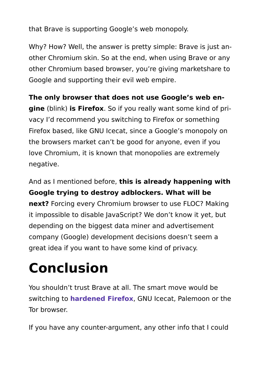that Brave is supporting Google's web monopoly.

Why? How? Well, the answer is pretty simple: Brave is just another Chromium skin. So at the end, when using Brave or any other Chromium based browser, you're giving marketshare to Google and supporting their evil web empire.

**The only browser that does not use Google's web en‐ gine** (blink) **is Firefox**. So if you really want some kind of pri‐ vacy I'd recommend you switching to Firefox or something Firefox based, like GNU Icecat, since a Google's monopoly on the browsers market can't be good for anyone, even if you love Chromium, it is known that monopolies are extremely negative.

And as I mentioned before, **this is already happening with Google trying to destroy adblockers. What will be next?** Forcing every Chromium browser to use FLOC? Making it impossible to disable JavaScript? We don't know it yet, but depending on the biggest data miner and advertisement company (Google) development decisions doesn't seem a great idea if you want to have some kind of privacy.

# **Conclusion**

You shouldn't trust Brave at all. The smart move would be switching to **hardened Firefox**, GNU Icecat, Palemoon or the Tor browser.

If you have any counter-argument, any other info that I could